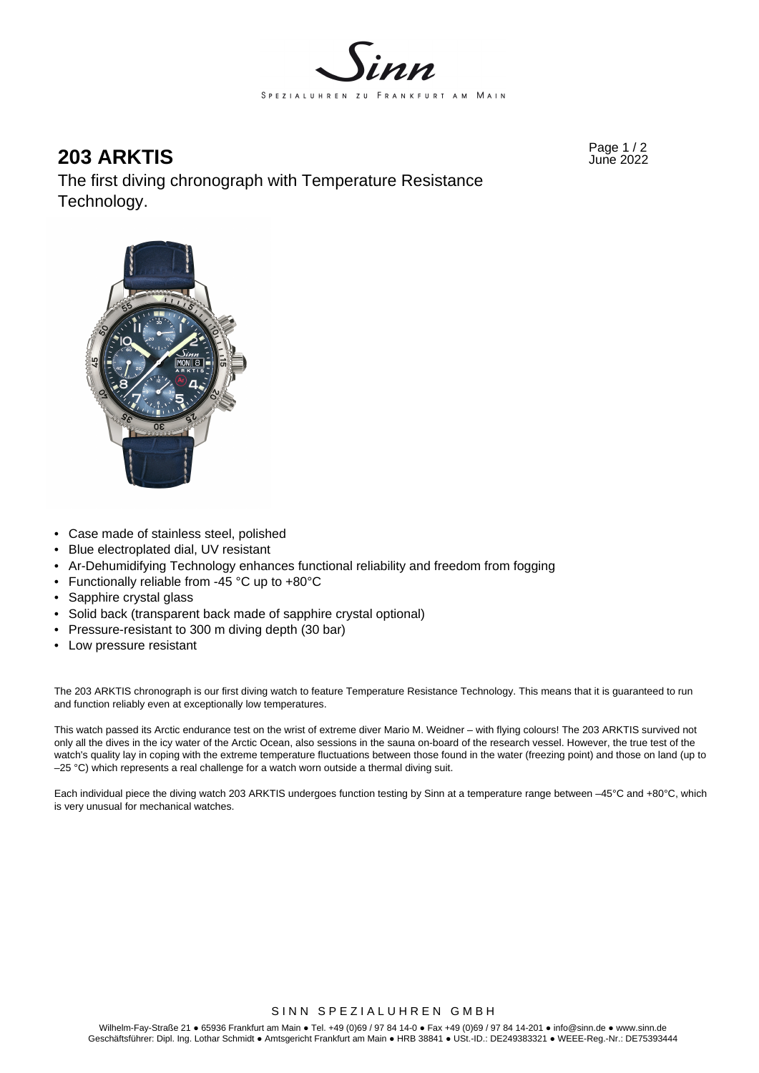

Page 1 / 2 **203 ARKTIS** June 2022

The first diving chronograph with Temperature Resistance Technology.



- Case made of stainless steel, polished
- Blue electroplated dial, UV resistant
- Ar-Dehumidifying Technology enhances functional reliability and freedom from fogging
- Functionally reliable from -45 °C up to +80°C
- Sapphire crystal glass
- Solid back (transparent back made of sapphire crystal optional)
- Pressure-resistant to 300 m diving depth (30 bar)
- Low pressure resistant

The 203 ARKTIS chronograph is our first diving watch to feature Temperature Resistance Technology. This means that it is guaranteed to run and function reliably even at exceptionally low temperatures.

This watch passed its Arctic endurance test on the wrist of extreme diver Mario M. Weidner – with flying colours! The 203 ARKTIS survived not only all the dives in the icy water of the Arctic Ocean, also sessions in the sauna on-board of the research vessel. However, the true test of the watch's quality lay in coping with the extreme temperature fluctuations between those found in the water (freezing point) and those on land (up to –25 °C) which represents a real challenge for a watch worn outside a thermal diving suit.

Each individual piece the diving watch 203 ARKTIS undergoes function testing by Sinn at a temperature range between –45°C and +80°C, which is very unusual for mechanical watches.

#### SINN SPEZIALUHREN GMBH